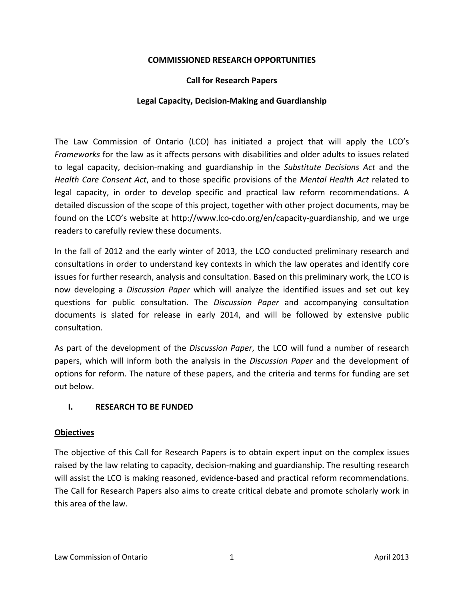#### **COMMISSIONED RESEARCH OPPORTUNITIES**

#### **Call for Research Papers**

#### **Legal Capacity, Decision‐Making and Guardianship**

The Law Commission of Ontario (LCO) has initiated a project that will apply the LCO's *Frameworks* for the law as it affects persons with disabilities and older adults to issues related to legal capacity, decision‐making and guardianship in the *Substitute Decisions Act* and the *Health Care Consent Act*, and to those specific provisions of the *Mental Health Act* related to legal capacity, in order to develop specific and practical law reform recommendations. A detailed discussion of the scope of this project, together with other project documents, may be found on the LCO's website at http://www.lco-cdo.org/en/capacity-guardianship, and we urge readers to carefully review these documents.

In the fall of 2012 and the early winter of 2013, the LCO conducted preliminary research and consultations in order to understand key contexts in which the law operates and identify core issues for further research, analysis and consultation. Based on this preliminary work, the LCO is now developing a *Discussion Paper* which will analyze the identified issues and set out key questions for public consultation. The *Discussion Paper* and accompanying consultation documents is slated for release in early 2014, and will be followed by extensive public consultation.

As part of the development of the *Discussion Paper*, the LCO will fund a number of research papers, which will inform both the analysis in the *Discussion Paper* and the development of options for reform. The nature of these papers, and the criteria and terms for funding are set out below.

#### **I. RESEARCH TO BE FUNDED**

#### **Objectives**

The objective of this Call for Research Papers is to obtain expert input on the complex issues raised by the law relating to capacity, decision‐making and guardianship. The resulting research will assist the LCO is making reasoned, evidence-based and practical reform recommendations. The Call for Research Papers also aims to create critical debate and promote scholarly work in this area of the law.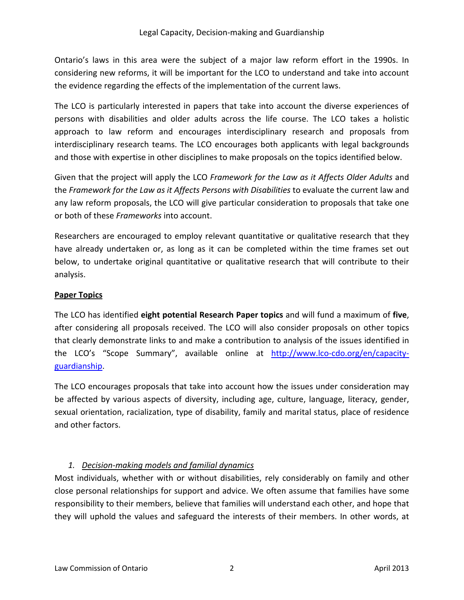Ontario's laws in this area were the subject of a major law reform effort in the 1990s. In considering new reforms, it will be important for the LCO to understand and take into account the evidence regarding the effects of the implementation of the current laws.

The LCO is particularly interested in papers that take into account the diverse experiences of persons with disabilities and older adults across the life course. The LCO takes a holistic approach to law reform and encourages interdisciplinary research and proposals from interdisciplinary research teams. The LCO encourages both applicants with legal backgrounds and those with expertise in other disciplines to make proposals on the topics identified below.

Given that the project will apply the LCO *Framework for the Law as it Affects Older Adults* and the *Framework for the Law as it Affects Persons with Disabilities* to evaluate the current law and any law reform proposals, the LCO will give particular consideration to proposals that take one or both of these *Frameworks* into account.

Researchers are encouraged to employ relevant quantitative or qualitative research that they have already undertaken or, as long as it can be completed within the time frames set out below, to undertake original quantitative or qualitative research that will contribute to their analysis.

#### **Paper Topics**

The LCO has identified **eight potential Research Paper topics** and will fund a maximum of **five**, after considering all proposals received. The LCO will also consider proposals on other topics that clearly demonstrate links to and make a contribution to analysis of the issues identified in the LCO's "Scope Summary", available online at http://www.lco-cdo.org/en/capacityguardianship.

The LCO encourages proposals that take into account how the issues under consideration may be affected by various aspects of diversity, including age, culture, language, literacy, gender, sexual orientation, racialization, type of disability, family and marital status, place of residence and other factors.

### *1. Decision‐making models and familial dynamics*

Most individuals, whether with or without disabilities, rely considerably on family and other close personal relationships for support and advice. We often assume that families have some responsibility to their members, believe that families will understand each other, and hope that they will uphold the values and safeguard the interests of their members. In other words, at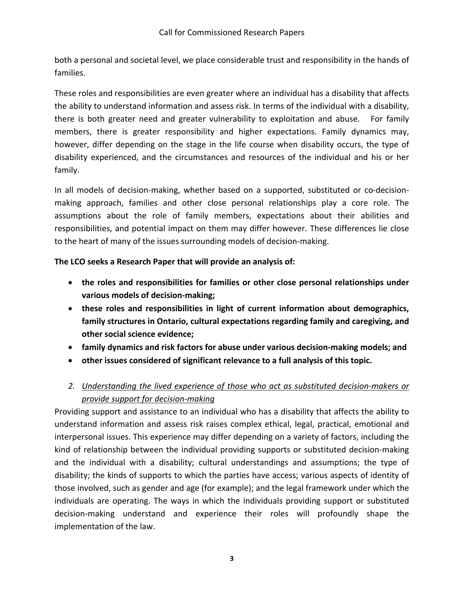both a personal and societal level, we place considerable trust and responsibility in the hands of families.

These roles and responsibilities are even greater where an individual has a disability that affects the ability to understand information and assess risk. In terms of the individual with a disability, there is both greater need and greater vulnerability to exploitation and abuse. For family members, there is greater responsibility and higher expectations. Family dynamics may, however, differ depending on the stage in the life course when disability occurs, the type of disability experienced, and the circumstances and resources of the individual and his or her family.

In all models of decision-making, whether based on a supported, substituted or co-decisionmaking approach, families and other close personal relationships play a core role. The assumptions about the role of family members, expectations about their abilities and responsibilities, and potential impact on them may differ however. These differences lie close to the heart of many of the issues surrounding models of decision‐making.

## **The LCO seeks a Research Paper that will provide an analysis of:**

- **the roles and responsibilities for families or other close personal relationships under various models of decision‐making;**
- **these roles and responsibilities in light of current information about demographics, family structures in Ontario, cultural expectations regarding family and caregiving, and other social science evidence;**
- **family dynamics and risk factors for abuse under various decision‐making models; and**
- **other issues considered of significant relevance to a full analysis of this topic.**
- *2. Understanding the lived experience of those who act as substituted decision‐makers or provide support for decision‐making*

Providing support and assistance to an individual who has a disability that affects the ability to understand information and assess risk raises complex ethical, legal, practical, emotional and interpersonal issues. This experience may differ depending on a variety of factors, including the kind of relationship between the individual providing supports or substituted decision‐making and the individual with a disability; cultural understandings and assumptions; the type of disability; the kinds of supports to which the parties have access; various aspects of identity of those involved, such as gender and age (for example); and the legal framework under which the individuals are operating. The ways in which the individuals providing support or substituted decision‐making understand and experience their roles will profoundly shape the implementation of the law.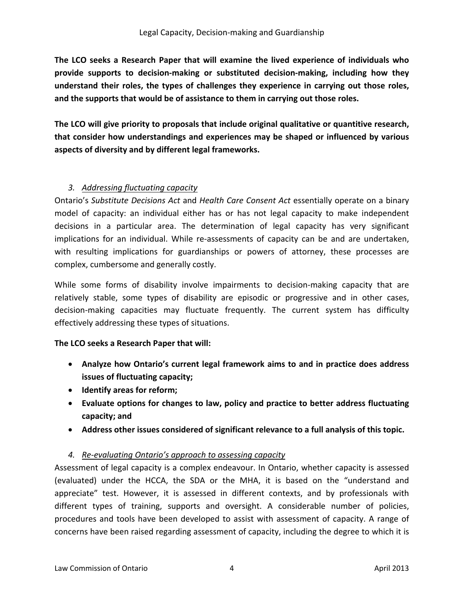**The LCO seeks a Research Paper that will examine the lived experience of individuals who provide supports to decision‐making or substituted decision‐making, including how they understand their roles, the types of challenges they experience in carrying out those roles, and the supports that would be of assistance to them in carrying out those roles.** 

**The LCO will give priority to proposals that include original qualitative or quantitive research, that consider how understandings and experiences may be shaped or influenced by various aspects of diversity and by different legal frameworks.** 

## *3. Addressing fluctuating capacity*

Ontario's *Substitute Decisions Act* and *Health Care Consent Act* essentially operate on a binary model of capacity: an individual either has or has not legal capacity to make independent decisions in a particular area. The determination of legal capacity has very significant implications for an individual. While re-assessments of capacity can be and are undertaken, with resulting implications for guardianships or powers of attorney, these processes are complex, cumbersome and generally costly.

While some forms of disability involve impairments to decision-making capacity that are relatively stable, some types of disability are episodic or progressive and in other cases, decision-making capacities may fluctuate frequently. The current system has difficulty effectively addressing these types of situations.

### **The LCO seeks a Research Paper that will:**

- **Analyze how Ontario's current legal framework aims to and in practice does address issues of fluctuating capacity;**
- **Identify areas for reform;**
- **Evaluate options for changes to law, policy and practice to better address fluctuating capacity; and**
- **Address other issues considered of significant relevance to a full analysis of this topic.**

## *4. Re‐evaluating Ontario's approach to assessing capacity*

Assessment of legal capacity is a complex endeavour. In Ontario, whether capacity is assessed (evaluated) under the HCCA, the SDA or the MHA, it is based on the "understand and appreciate" test. However, it is assessed in different contexts, and by professionals with different types of training, supports and oversight. A considerable number of policies, procedures and tools have been developed to assist with assessment of capacity. A range of concerns have been raised regarding assessment of capacity, including the degree to which it is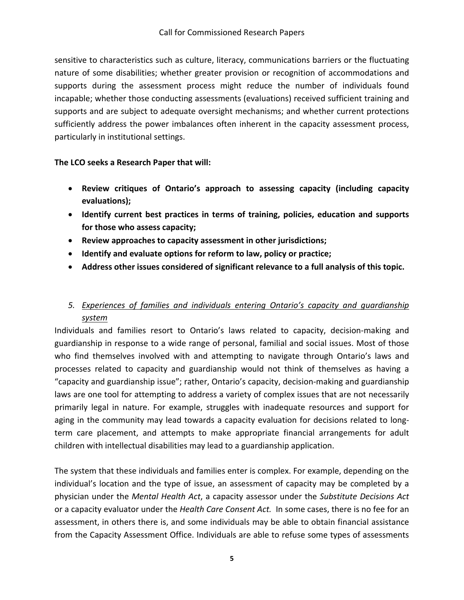sensitive to characteristics such as culture, literacy, communications barriers or the fluctuating nature of some disabilities; whether greater provision or recognition of accommodations and supports during the assessment process might reduce the number of individuals found incapable; whether those conducting assessments (evaluations) received sufficient training and supports and are subject to adequate oversight mechanisms; and whether current protections sufficiently address the power imbalances often inherent in the capacity assessment process, particularly in institutional settings.

## **The LCO seeks a Research Paper that will:**

- **Review critiques of Ontario's approach to assessing capacity (including capacity evaluations);**
- **Identify current best practices in terms of training, policies, education and supports for those who assess capacity;**
- **Review approaches to capacity assessment in other jurisdictions;**
- **Identify and evaluate options for reform to law, policy or practice;**
- **Address other issues considered of significant relevance to a full analysis of this topic.**

# *5. Experiences of families and individuals entering Ontario's capacity and guardianship system*

Individuals and families resort to Ontario's laws related to capacity, decision‐making and guardianship in response to a wide range of personal, familial and social issues. Most of those who find themselves involved with and attempting to navigate through Ontario's laws and processes related to capacity and guardianship would not think of themselves as having a "capacity and guardianship issue"; rather, Ontario's capacity, decision‐making and guardianship laws are one tool for attempting to address a variety of complex issues that are not necessarily primarily legal in nature. For example, struggles with inadequate resources and support for aging in the community may lead towards a capacity evaluation for decisions related to longterm care placement, and attempts to make appropriate financial arrangements for adult children with intellectual disabilities may lead to a guardianship application.

The system that these individuals and families enter is complex. For example, depending on the individual's location and the type of issue, an assessment of capacity may be completed by a physician under the *Mental Health Act*, a capacity assessor under the *Substitute Decisions Act* or a capacity evaluator under the *Health Care Consent Act.* In some cases, there is no fee for an assessment, in others there is, and some individuals may be able to obtain financial assistance from the Capacity Assessment Office. Individuals are able to refuse some types of assessments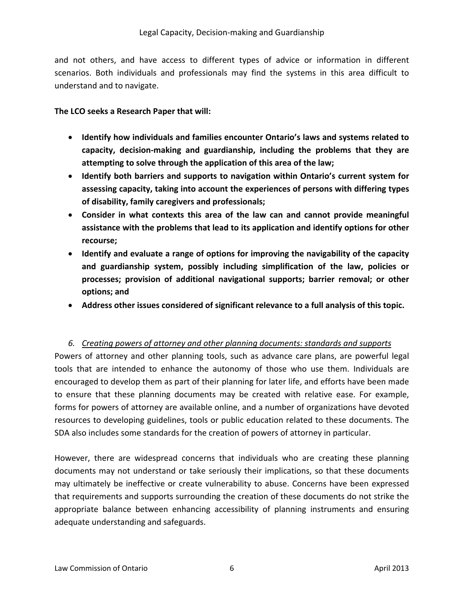and not others, and have access to different types of advice or information in different scenarios. Both individuals and professionals may find the systems in this area difficult to understand and to navigate.

#### **The LCO seeks a Research Paper that will:**

- **Identify how individuals and families encounter Ontario's laws and systems related to capacity, decision‐making and guardianship, including the problems that they are attempting to solve through the application of this area of the law;**
- **Identify both barriers and supports to navigation within Ontario's current system for assessing capacity, taking into account the experiences of persons with differing types of disability, family caregivers and professionals;**
- **Consider in what contexts this area of the law can and cannot provide meaningful assistance with the problems that lead to its application and identify options for other recourse;**
- **Identify and evaluate a range of options for improving the navigability of the capacity and guardianship system, possibly including simplification of the law, policies or processes; provision of additional navigational supports; barrier removal; or other options; and**
- **Address other issues considered of significant relevance to a full analysis of this topic.**

### *6. Creating powers of attorney and other planning documents: standards and supports*

Powers of attorney and other planning tools, such as advance care plans, are powerful legal tools that are intended to enhance the autonomy of those who use them. Individuals are encouraged to develop them as part of their planning for later life, and efforts have been made to ensure that these planning documents may be created with relative ease. For example, forms for powers of attorney are available online, and a number of organizations have devoted resources to developing guidelines, tools or public education related to these documents. The SDA also includes some standards for the creation of powers of attorney in particular.

However, there are widespread concerns that individuals who are creating these planning documents may not understand or take seriously their implications, so that these documents may ultimately be ineffective or create vulnerability to abuse. Concerns have been expressed that requirements and supports surrounding the creation of these documents do not strike the appropriate balance between enhancing accessibility of planning instruments and ensuring adequate understanding and safeguards.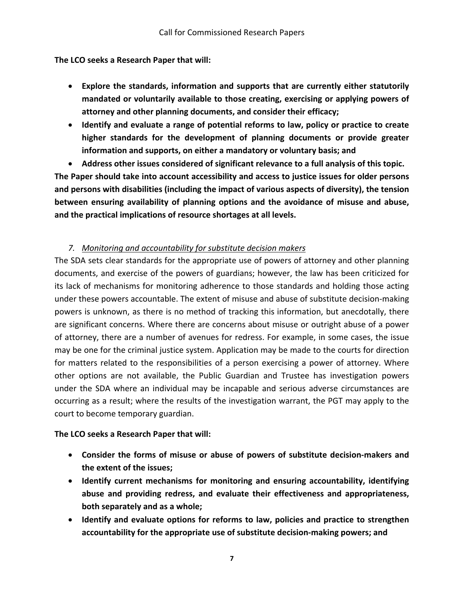#### **The LCO seeks a Research Paper that will:**

- **Explore the standards, information and supports that are currently either statutorily mandated or voluntarily available to those creating, exercising or applying powers of attorney and other planning documents, and consider their efficacy;**
- **Identify and evaluate a range of potential reforms to law, policy or practice to create higher standards for the development of planning documents or provide greater information and supports, on either a mandatory or voluntary basis; and**
- **Address other issues considered of significant relevance to a full analysis of this topic.**

**The Paper should take into account accessibility and access to justice issues for older persons and persons with disabilities (including the impact of various aspects of diversity), the tension between ensuring availability of planning options and the avoidance of misuse and abuse, and the practical implications of resource shortages at all levels.**

### *7. Monitoring and accountability for substitute decision makers*

The SDA sets clear standards for the appropriate use of powers of attorney and other planning documents, and exercise of the powers of guardians; however, the law has been criticized for its lack of mechanisms for monitoring adherence to those standards and holding those acting under these powers accountable. The extent of misuse and abuse of substitute decision‐making powers is unknown, as there is no method of tracking this information, but anecdotally, there are significant concerns. Where there are concerns about misuse or outright abuse of a power of attorney, there are a number of avenues for redress. For example, in some cases, the issue may be one for the criminal justice system. Application may be made to the courts for direction for matters related to the responsibilities of a person exercising a power of attorney. Where other options are not available, the Public Guardian and Trustee has investigation powers under the SDA where an individual may be incapable and serious adverse circumstances are occurring as a result; where the results of the investigation warrant, the PGT may apply to the court to become temporary guardian.

### **The LCO seeks a Research Paper that will:**

- **Consider the forms of misuse or abuse of powers of substitute decision‐makers and the extent of the issues;**
- **Identify current mechanisms for monitoring and ensuring accountability, identifying abuse and providing redress, and evaluate their effectiveness and appropriateness, both separately and as a whole;**
- **Identify and evaluate options for reforms to law, policies and practice to strengthen accountability for the appropriate use of substitute decision‐making powers; and**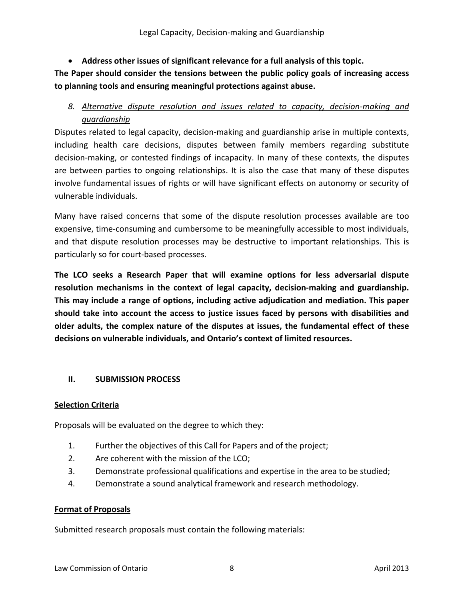**Address other issues of significant relevance for a full analysis of this topic.** 

**The Paper should consider the tensions between the public policy goals of increasing access to planning tools and ensuring meaningful protections against abuse.** 

# *8. Alternative dispute resolution and issues related to capacity, decision‐making and guardianship*

Disputes related to legal capacity, decision‐making and guardianship arise in multiple contexts, including health care decisions, disputes between family members regarding substitute decision‐making, or contested findings of incapacity. In many of these contexts, the disputes are between parties to ongoing relationships. It is also the case that many of these disputes involve fundamental issues of rights or will have significant effects on autonomy or security of vulnerable individuals.

Many have raised concerns that some of the dispute resolution processes available are too expensive, time-consuming and cumbersome to be meaningfully accessible to most individuals, and that dispute resolution processes may be destructive to important relationships. This is particularly so for court‐based processes.

**The LCO seeks a Research Paper that will examine options for less adversarial dispute resolution mechanisms in the context of legal capacity, decision‐making and guardianship. This may include a range of options, including active adjudication and mediation. This paper should take into account the access to justice issues faced by persons with disabilities and older adults, the complex nature of the disputes at issues, the fundamental effect of these decisions on vulnerable individuals, and Ontario's context of limited resources.** 

### **II. SUBMISSION PROCESS**

### **Selection Criteria**

Proposals will be evaluated on the degree to which they:

- 1. Further the objectives of this Call for Papers and of the project;
- 2. Are coherent with the mission of the LCO;
- 3. Demonstrate professional qualifications and expertise in the area to be studied;
- 4. Demonstrate a sound analytical framework and research methodology.

#### **Format of Proposals**

Submitted research proposals must contain the following materials: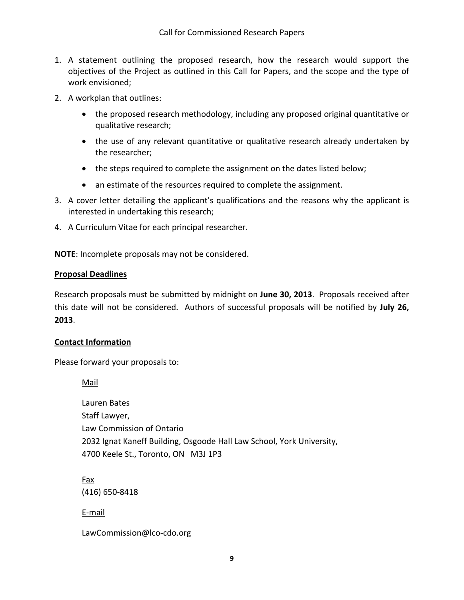- 1. A statement outlining the proposed research, how the research would support the objectives of the Project as outlined in this Call for Papers, and the scope and the type of work envisioned;
- 2. A workplan that outlines:
	- the proposed research methodology, including any proposed original quantitative or qualitative research;
	- the use of any relevant quantitative or qualitative research already undertaken by the researcher;
	- the steps required to complete the assignment on the dates listed below;
	- an estimate of the resources required to complete the assignment.
- 3. A cover letter detailing the applicant's qualifications and the reasons why the applicant is interested in undertaking this research;
- 4. A Curriculum Vitae for each principal researcher.

**NOTE**: Incomplete proposals may not be considered.

### **Proposal Deadlines**

Research proposals must be submitted by midnight on **June 30, 2013**. Proposals received after this date will not be considered. Authors of successful proposals will be notified by **July 26, 2013**.

### **Contact Information**

Please forward your proposals to:

Mail

Lauren Bates Staff Lawyer, Law Commission of Ontario 2032 Ignat Kaneff Building, Osgoode Hall Law School, York University, 4700 Keele St., Toronto, ON M3J 1P3

Fax (416) 650‐8418

E‐mail

LawCommission@lco‐cdo.org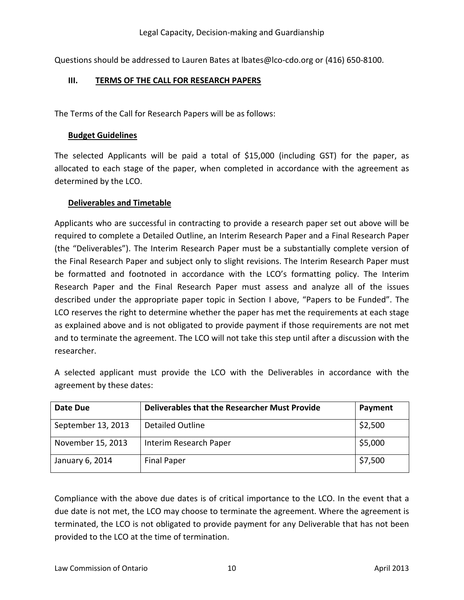Questions should be addressed to Lauren Bates at Ibates@lco-cdo.org or (416) 650-8100.

## **III. TERMS OF THE CALL FOR RESEARCH PAPERS**

The Terms of the Call for Research Papers will be as follows:

#### **Budget Guidelines**

The selected Applicants will be paid a total of \$15,000 (including GST) for the paper, as allocated to each stage of the paper, when completed in accordance with the agreement as determined by the LCO.

### **Deliverables and Timetable**

Applicants who are successful in contracting to provide a research paper set out above will be required to complete a Detailed Outline, an Interim Research Paper and a Final Research Paper (the "Deliverables"). The Interim Research Paper must be a substantially complete version of the Final Research Paper and subject only to slight revisions. The Interim Research Paper must be formatted and footnoted in accordance with the LCO's formatting policy. The Interim Research Paper and the Final Research Paper must assess and analyze all of the issues described under the appropriate paper topic in Section I above, "Papers to be Funded". The LCO reserves the right to determine whether the paper has met the requirements at each stage as explained above and is not obligated to provide payment if those requirements are not met and to terminate the agreement. The LCO will not take this step until after a discussion with the researcher.

A selected applicant must provide the LCO with the Deliverables in accordance with the agreement by these dates:

| Date Due           | <b>Deliverables that the Researcher Must Provide</b> | Payment |
|--------------------|------------------------------------------------------|---------|
| September 13, 2013 | <b>Detailed Outline</b>                              | \$2,500 |
| November 15, 2013  | Interim Research Paper                               | \$5,000 |
| January 6, 2014    | <b>Final Paper</b>                                   | \$7,500 |

Compliance with the above due dates is of critical importance to the LCO. In the event that a due date is not met, the LCO may choose to terminate the agreement. Where the agreement is terminated, the LCO is not obligated to provide payment for any Deliverable that has not been provided to the LCO at the time of termination.